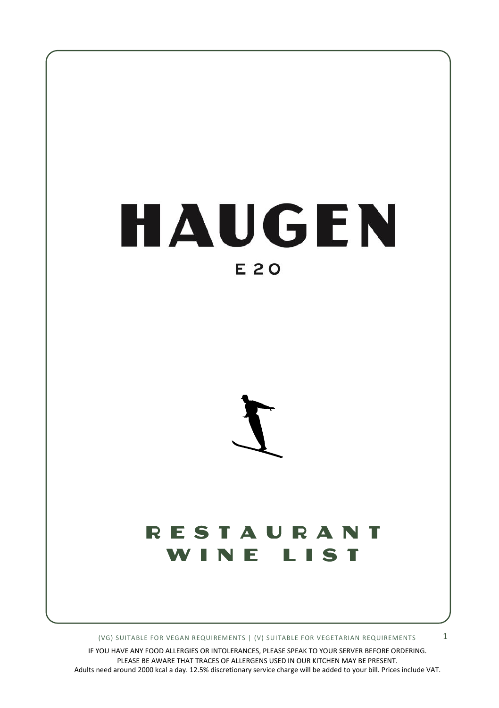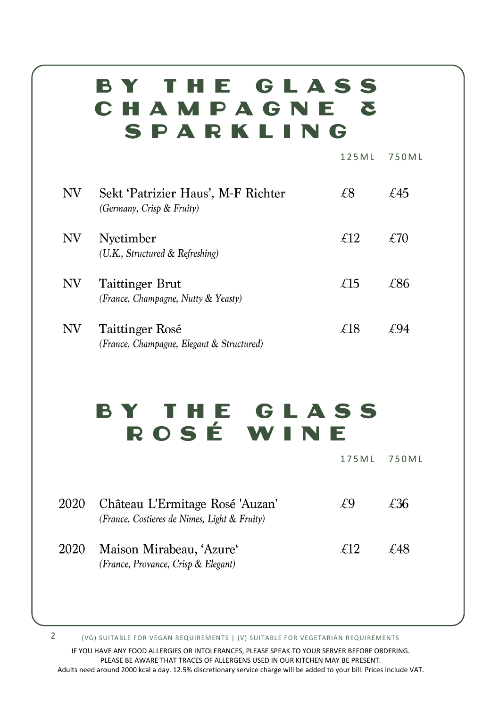## BY THE GLASS CHAMPAGNE & SPARKLING

1 2 5 M L 7 5 0 M L

| NV | Sekt 'Patrizier Haus', M-F Richter<br>(Germany, Crisp & Fruity) | £8   | £45             |
|----|-----------------------------------------------------------------|------|-----------------|
| NV | Nyetimber<br>(U.K., Structured & Refreshing)                    | £12. | 70 <sup>/</sup> |
| NV | Taittinger Brut<br>(France, Champagne, Nutty & Yeasty)          | f15  | £86             |
| NV | Taittinger Rosé<br>(France, Champagne, Elegant & Structured)    | £18  | ₽Ч4             |

## BY THE GLASS ROSÉ WINE

|      |                                                                                 | 175ML | 750ML |
|------|---------------------------------------------------------------------------------|-------|-------|
| 2020 | Château L'Ermitage Rosé 'Auzan'<br>(France, Costieres de Nimes, Light & Fruity) | £9    | £36   |
| 2020 | Maison Mirabeau, 'Azure'<br>(France, Provance, Crisp & Elegant)                 | £12   | £48   |
|      |                                                                                 |       |       |

(VG) SUITABLE FOR VEGAN REQUIREMENTS | (V) SUITABLE FOR VEGETARIAN REQUIREMENTS 2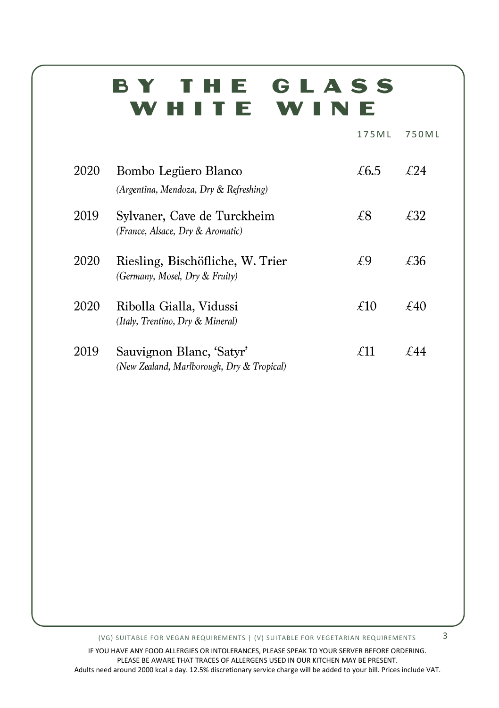## BY THE GLASS WHITE WINE

175 M L 750 M L

| 2020 | Bombo Legüero Blanco<br>(Argentina, Mendoza, Dry & Refreshing)         | £6.5 | £24  |
|------|------------------------------------------------------------------------|------|------|
| 2019 | Sylvaner, Cave de Turckheim<br>(France, Alsace, Dry & Aromatic)        | £8   | £32  |
| 2020 | Riesling, Bischöfliche, W. Trier<br>(Germany, Mosel, Dry & Fruity)     | £9   | £36  |
| 2020 | Ribolla Gialla, Vidussi<br>(Italy, Trentino, Dry & Mineral)            | £10  | £40  |
| 2019 | Sauvignon Blanc, 'Satyr'<br>(New Zealand, Marlborough, Dry & Tropical) | f11  | f 44 |

(VG) SUITABLE FOR VEGAN REQUIREMENTS | (V) SUITABLE FOR VEGETARIAN REQUIREMENTS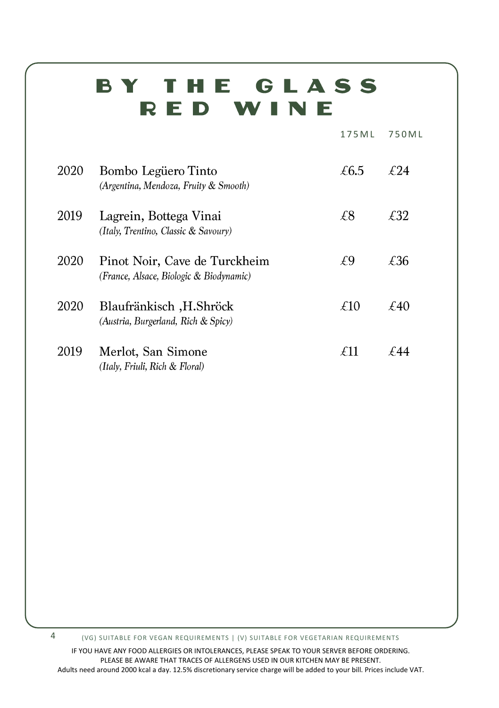## BY THE GLASS RED WINE

|      |                                                                          | 175ML | 750 M L |
|------|--------------------------------------------------------------------------|-------|---------|
| 2020 | Bombo Legüero Tinto<br>(Argentina, Mendoza, Fruity & Smooth)             | £6.5  | £24     |
| 2019 | Lagrein, Bottega Vinai<br>(Italy, Trentino, Classic & Savoury)           | £8    | £32     |
| 2020 | Pinot Noir, Cave de Turckheim<br>(France, Alsace, Biologic & Biodynamic) | £9    | £36     |
| 2020 | Blaufränkisch, H.Shröck<br>(Austria, Burgerland, Rich & Spicy)           | £10   | £40     |
| 2019 | Merlot, San Simone<br>(Italy, Friuli, Rich & Floral)                     | £11   |         |

4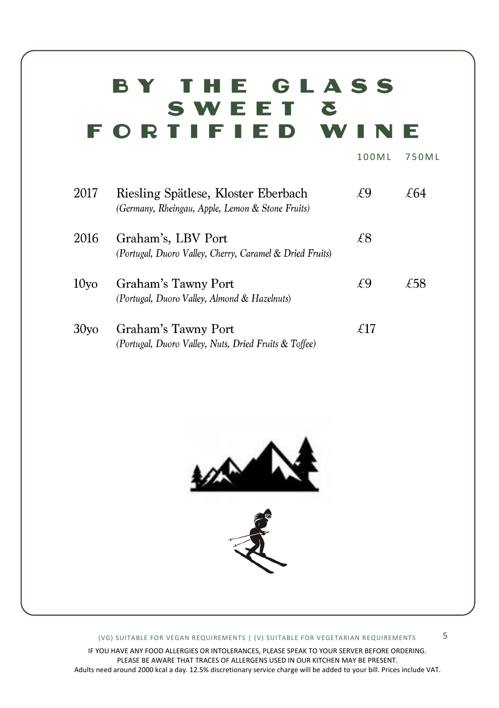### BY THE GLASS SWEET & **FORTIFIED WI** NE

| 2017             | Riesling Spätlese, Kloster Eberbach<br>(Germany, Rheingau, Apple, Lemon & Stone Fruits) | £9  | £64 |
|------------------|-----------------------------------------------------------------------------------------|-----|-----|
| 2016             | Graham's, LBV Port<br>(Portugal, Duoro Valley, Cherry, Caramel & Dried Fruits)          | £8  |     |
| 10 <sub>yo</sub> | Graham's Tawny Port<br>(Portugal, Duoro Valley, Almond & Hazelnuts)                     | ΨQ  | £58 |
| 30 <sub>VO</sub> | Graham's Tawny Port<br>(Portugal, Duoro Valley, Nuts, Dried Fruits & Toffee)            | £17 |     |





#### (VG) SUITABLE FOR VEGAN REQUIREMENTS | (V) SUITABLE FOR VEGETARIAN REQUIREMENTS

IF YOU HAVE ANY FOOD ALLERGIES OR INTOLERANCES, PLEASE SPEAK TO YOUR SERVER BEFORE ORDERING. PLEASE BE AWARE THAT TRACES OF ALLERGENS USED IN OUR KITCHEN MAY BE PRESENT. Adults need around 2000 kcal a day. 12.5% discretionary service charge will be added to your bill. Prices include VAT.

1 0 0M L 7 5 0 M L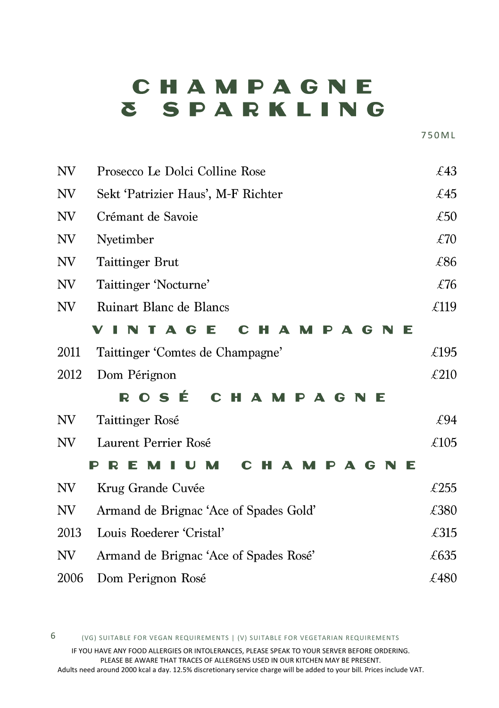# CHAMPAGNE **& SPARKLING**

7 5 0 M L

| NV   | Prosecco Le Dolci Colline Rose                               | £43  |
|------|--------------------------------------------------------------|------|
| NV   | Sekt 'Patrizier Haus', M-F Richter                           | £45  |
| NV   | Crémant de Savoie                                            | £50  |
| NV   | Nyetimber                                                    | £70  |
| NV   | <b>Taittinger Brut</b>                                       | £86  |
| NV   | Taittinger 'Nocturne'                                        | £76  |
| NV   | Ruinart Blanc de Blancs                                      | £119 |
|      | TA G<br>E<br>N<br>G<br>Е<br>ы<br>A<br>M<br>P<br>A<br>C       |      |
| 2011 | Taittinger 'Comtes de Champagne'                             | £195 |
| 2012 | Dom Pérignon                                                 | £210 |
|      | <b>OSÉ</b><br>R<br>C<br>Н<br>$\blacktriangle$<br>G<br>P<br>E |      |
| NV   | Taittinger Rosé                                              | £94  |
| NV   | Laurent Perrier Rosé                                         | £105 |
|      | F<br>G<br>Е<br>Δ                                             |      |
| NV   | Krug Grande Cuvée                                            | £255 |
| NV   | Armand de Brignac 'Ace of Spades Gold'                       | £380 |
| 2013 | Louis Roederer 'Cristal'                                     | £315 |
| NV   | Armand de Brignac 'Ace of Spades Rosé'                       | £635 |
| 2006 | Dom Perignon Rosé                                            | £480 |

(VG) SUITABLE FOR VEGAN REQUIREMENTS | (V) SUITABLE FOR VEGETARIAN REQUIREMENTS 6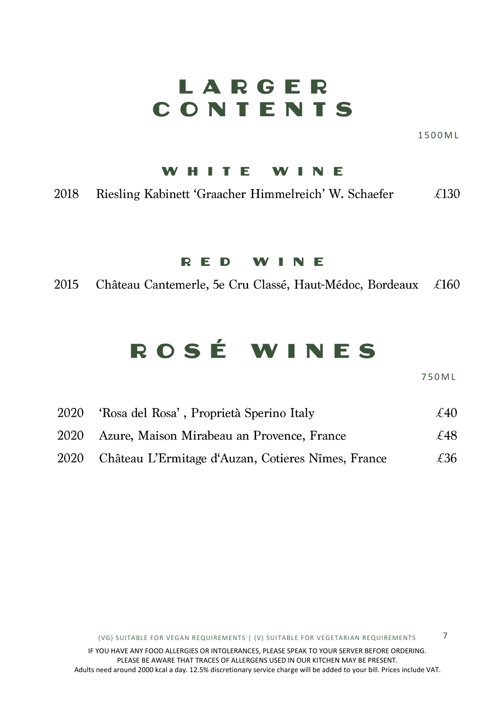## LARGER CONTENTS

1 500M L

#### WHITE WINE

2018 Riesling Kabinett 'Graacher Himmelreich' W. Schaefer  $\angle$  £130

#### RED WINE

2015 Château Cantemerle, 5e Cru Classé, Haut-Médoc, Bordeaux £160

# ROSÉ WINES

7 5 0 M L

7

| 2020 | 'Rosa del Rosa', Proprietà Sperino Italy           | £40 |
|------|----------------------------------------------------|-----|
| 2020 | Azure, Maison Mirabeau an Provence, France         | £48 |
| 2020 | Château L'Ermitage d'Auzan, Cotieres Nîmes, France | £36 |

(VG) SUITABLE FOR VEGAN REQUIREMENTS | (V) SUITABLE FOR VEGETARIAN REQUIREMENTS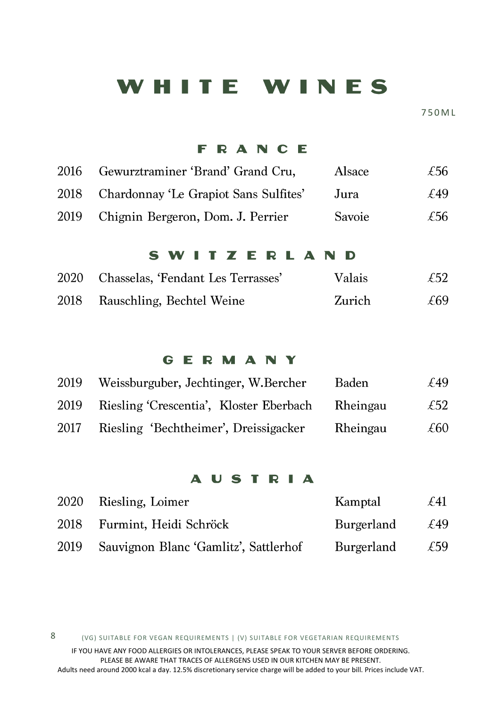### WHITE WINES

7 5 0 M L

#### **FRANCE**

| 2016 | Gewurztraminer 'Brand' Grand Cru,          | Alsace | £56. |
|------|--------------------------------------------|--------|------|
|      | 2018 Chardonnay 'Le Grapiot Sans Sulfites' | Jura   | £49  |
| 2019 | Chignin Bergeron, Dom. J. Perrier          | Savoie | £56  |

#### SWITZERLAND

|      | 2020 Chasselas, 'Fendant Les Terrasses' | <b>Valais</b> | £52 |
|------|-----------------------------------------|---------------|-----|
| 2018 | Rauschling, Bechtel Weine               | Zurich        | £69 |

#### GERMANY

| 2019 | Weissburguber, Jechtinger, W.Bercher    | Baden    | £49  |
|------|-----------------------------------------|----------|------|
| 2019 | Riesling 'Crescentia', Kloster Eberbach | Rheingau | £52  |
| 2017 | Riesling 'Bechtheimer', Dreissigacker   | Rheingau | £60. |

#### **AUSTRIA**

|      | 2020 Riesling, Loimer                 | Kamptal           | $\mathcal{L}41$ |
|------|---------------------------------------|-------------------|-----------------|
| 2018 | Furmint, Heidi Schröck                | <b>Burgerland</b> | £49             |
| 2019 | Sauvignon Blanc 'Gamlitz', Sattlerhof | Burgerland        | £59             |

(VG) SUITABLE FOR VEGAN REQUIREMENTS | (V) SUITABLE FOR VEGETARIAN REQUIREMENTS 8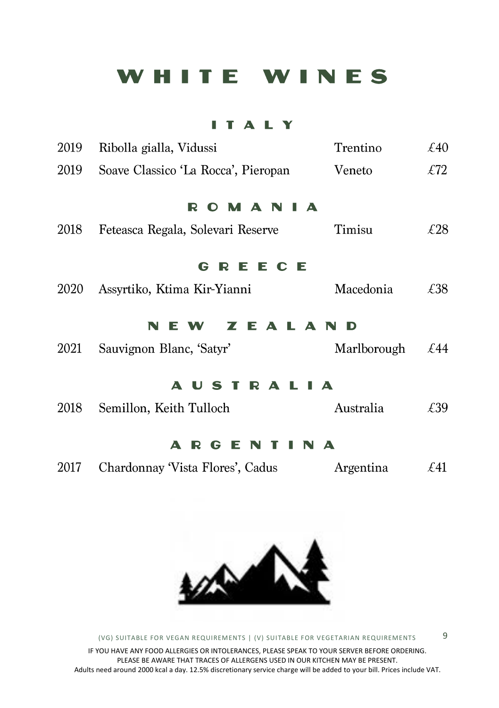### WHITE WINES

### **ITALY**

| 2019 | Ribolla gialla, Vidussi             | Trentino    | £40             |
|------|-------------------------------------|-------------|-----------------|
| 2019 | Soave Classico 'La Rocca', Pieropan | Veneto      | $\mathcal{L}72$ |
|      | <b>OMANI</b><br>A<br>R              |             |                 |
| 2018 | Feteasca Regala, Solevari Reserve   | Timisu      | £28             |
|      | REECE<br>G -                        |             |                 |
| 2020 | Assyrtiko, Ktima Kir-Yianni         | Macedonia   | £38             |
|      | ZEALAND<br>W.                       |             |                 |
| 2021 | Sauvignon Blanc, 'Satyr'            | Marlborough | £44             |
|      | <b>AUSTRALIA</b>                    |             |                 |
| 2018 | Semillon, Keith Tulloch             | Australia   | £39             |
|      | GENTINA<br>R<br>A                   |             |                 |
| 2017 | Chardonnay 'Vista Flores', Cadus    | Argentina   | $\mathcal{L}41$ |
|      |                                     |             |                 |



(VG) SUITABLE FOR VEGAN REQUIREMENTS | (V) SUITABLE FOR VEGETARIAN REQUIREMENTS IF YOU HAVE ANY FOOD ALLERGIES OR INTOLERANCES, PLEASE SPEAK TO YOUR SERVER BEFORE ORDERING. PLEASE BE AWARE THAT TRACES OF ALLERGENS USED IN OUR KITCHEN MAY BE PRESENT. Adults need around 2000 kcal a day. 12.5% discretionary service charge will be added to your bill. Prices include VAT.

9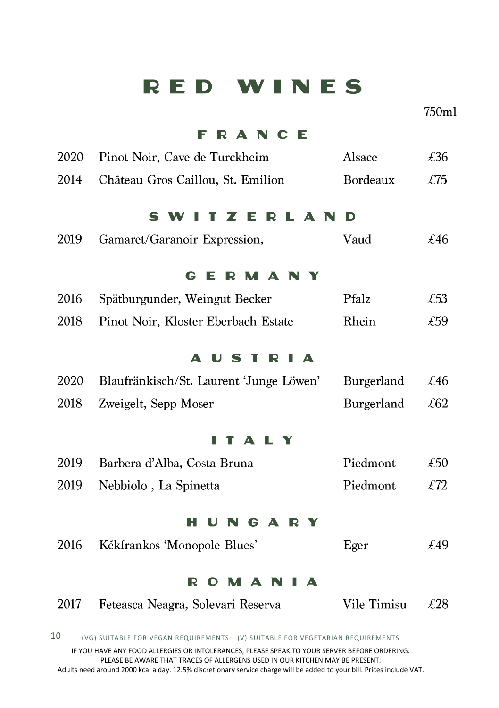### RED WINES

 $750ml$ 

### **FRANCE**

| Pinot Noir, Cave de Turckheim           | Alsace      | £36    |  |  |  |  |  |
|-----------------------------------------|-------------|--------|--|--|--|--|--|
| Château Gros Caillou, St. Emilion       | Bordeaux    | £75    |  |  |  |  |  |
| S                                       | D           |        |  |  |  |  |  |
| Gamaret/Garanoir Expression,            | Vaud        | £46    |  |  |  |  |  |
| M A N Y<br>G<br>F<br>R                  |             |        |  |  |  |  |  |
| Spätburgunder, Weingut Becker           | Pfalz       | £53    |  |  |  |  |  |
| Pinot Noir, Kloster Eberbach Estate     | Rhein       | £59    |  |  |  |  |  |
| A.<br>U<br>S T R<br>A                   |             |        |  |  |  |  |  |
| Blaufränkisch/St. Laurent 'Junge Löwen' | Burgerland  | £46    |  |  |  |  |  |
| Zweigelt, Sepp Moser                    | Burgerland  | £62    |  |  |  |  |  |
| Δ<br>L Y                                |             |        |  |  |  |  |  |
| Barbera d'Alba, Costa Bruna             | Piedmont    | £50    |  |  |  |  |  |
| Nebbiolo, La Spinetta                   | Piedmont    | $E$ 72 |  |  |  |  |  |
| NGARY<br>н                              |             |        |  |  |  |  |  |
| Kékfrankos 'Monopole Blues'             | Eger        | £49    |  |  |  |  |  |
| R<br>M A<br>A<br>O<br>N                 |             |        |  |  |  |  |  |
| Feteasca Neagra, Solevari Reserva       | Vile Timisu | £28    |  |  |  |  |  |
|                                         |             |        |  |  |  |  |  |

(VG) SUITABLE FOR VEGAN REQUIREMENTS | (V) SUITABLE FOR VEGETARIAN REQUIREMENTS 10